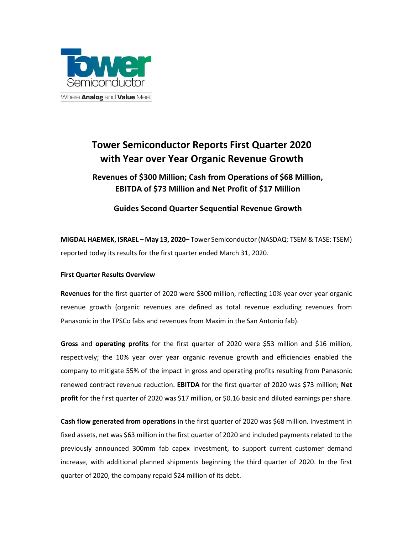

# **Tower Semiconductor Reports First Quarter 2020 with Year over Year Organic Revenue Growth**

**Revenues of \$300 Million; Cash from Operations of \$68 Million, EBITDA of \$73 Million and Net Profit of \$17 Million** 

**Guides Second Quarter Sequential Revenue Growth**

**MIGDAL HAEMEK, ISRAEL – May 13, 2020–** Tower Semiconductor (NASDAQ: TSEM & TASE: TSEM) reported today its results for the first quarter ended March 31, 2020.

# **First Quarter Results Overview**

**Revenues** for the first quarter of 2020 were \$300 million, reflecting 10% year over year organic revenue growth (organic revenues are defined as total revenue excluding revenues from Panasonic in the TPSCo fabs and revenues from Maxim in the San Antonio fab).

**Gross** and **operating profits** for the first quarter of 2020 were \$53 million and \$16 million, respectively; the 10% year over year organic revenue growth and efficiencies enabled the company to mitigate 55% of the impact in gross and operating profits resulting from Panasonic renewed contract revenue reduction. **EBITDA** for the first quarter of 2020 was \$73 million; **Net profit** for the first quarter of 2020 was \$17 million, or \$0.16 basic and diluted earnings per share.

**Cash flow generated from operations** in the first quarter of 2020 was \$68 million. Investment in fixed assets, net was \$63 million in the first quarter of 2020 and included payments related to the previously announced 300mm fab capex investment, to support current customer demand increase, with additional planned shipments beginning the third quarter of 2020. In the first quarter of 2020, the company repaid \$24 million of its debt.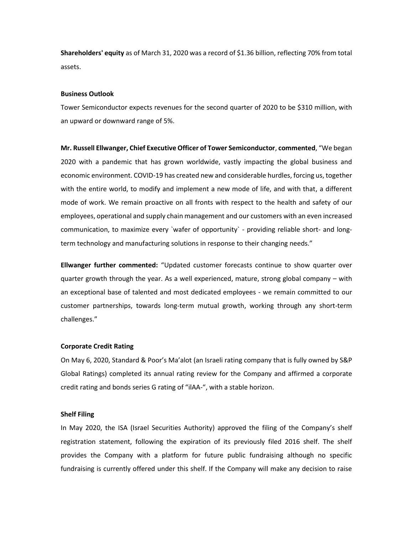**Shareholders' equity** as of March 31, 2020 was a record of \$1.36 billion, reflecting 70% from total assets.

## **Business Outlook**

Tower Semiconductor expects revenues for the second quarter of 2020 to be \$310 million, with an upward or downward range of 5%.

**Mr. Russell Ellwanger, Chief Executive Officer of Tower Semiconductor**, **commented**, "We began 2020 with a pandemic that has grown worldwide, vastly impacting the global business and economic environment. COVID-19 has created new and considerable hurdles, forcing us, together with the entire world, to modify and implement a new mode of life, and with that, a different mode of work. We remain proactive on all fronts with respect to the health and safety of our employees, operational and supply chain management and our customers with an even increased communication, to maximize every `wafer of opportunity` - providing reliable short- and longterm technology and manufacturing solutions in response to their changing needs."

**Ellwanger further commented:** "Updated customer forecasts continue to show quarter over quarter growth through the year. As a well experienced, mature, strong global company – with an exceptional base of talented and most dedicated employees - we remain committed to our customer partnerships, towards long-term mutual growth, working through any short-term challenges."

## **Corporate Credit Rating**

On May 6, 2020, Standard & Poor's Ma'alot (an Israeli rating company that is fully owned by S&P Global Ratings) completed its annual rating review for the Company and affirmed a corporate credit rating and bonds series G rating of "ilAA-", with a stable horizon.

#### **Shelf Filing**

In May 2020, the ISA (Israel Securities Authority) approved the filing of the Company's shelf registration statement, following the expiration of its previously filed 2016 shelf. The shelf provides the Company with a platform for future public fundraising although no specific fundraising is currently offered under this shelf. If the Company will make any decision to raise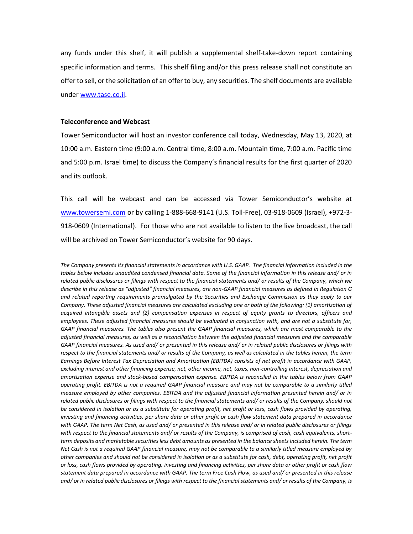any funds under this shelf, it will publish a supplemental shelf-take-down report containing specific information and terms. This shelf filing and/or this press release shall not constitute an offer to sell, or the solicitation of an offer to buy, any securities. The shelf documents are available under [www.tase.co.il.](http://www.tase.co.il/)

## **Teleconference and Webcast**

Tower Semiconductor will host an investor conference call today, Wednesday, May 13, 2020, at 10:00 a.m. Eastern time (9:00 a.m. Central time, 8:00 a.m. Mountain time, 7:00 a.m. Pacific time and 5:00 p.m. Israel time) to discuss the Company's financial results for the first quarter of 2020 and its outlook.

This call will be webcast and can be accessed via Tower Semiconductor's website at [www.towersemi.com](http://www.towersemi.com/) or by calling 1-888-668-9141 (U.S. Toll-Free), 03-918-0609 (Israel), +972-3- 918-0609 (International). For those who are not available to listen to the live broadcast, the call will be archived on Tower Semiconductor's website for 90 days.

*The Company presents its financial statements in accordance with U.S. GAAP. The financial information included in the tables below includes unaudited condensed financial data. Some of the financial information in this release and/ or in related public disclosures or filings with respect to the financial statements and/ or results of the Company, which we describe in this release as "adjusted" financial measures, are non-GAAP financial measures as defined in Regulation G and related reporting requirements promulgated by the Securities and Exchange Commission as they apply to our Company. These adjusted financial measures are calculated excluding one or both of the following: (1) amortization of acquired intangible assets and (2) compensation expenses in respect of equity grants to directors, officers and employees. These adjusted financial measures should be evaluated in conjunction with, and are not a substitute for, GAAP financial measures. The tables also present the GAAP financial measures, which are most comparable to the adjusted financial measures, as well as a reconciliation between the adjusted financial measures and the comparable GAAP financial measures. As used and/ or presented in this release and/ or in related public disclosures or filings with respect to the financial statements and/ or results of the Company, as well as calculated in the tables herein, the term Earnings Before Interest Tax Depreciation and Amortization (EBITDA) consists of net profit in accordance with GAAP, excluding interest and other financing expense, net, other income, net, taxes, non-controlling interest, depreciation and amortization expense and stock-based compensation expense. EBITDA is reconciled in the tables below from GAAP operating profit. EBITDA is not a required GAAP financial measure and may not be comparable to a similarly titled measure employed by other companies. EBITDA and the adjusted financial information presented herein and/ or in*  related public disclosures or filings with respect to the financial statements and/ or results of the Company, should not *be considered in isolation or as a substitute for operating profit, net profit or loss, cash flows provided by operating, investing and financing activities, per share data or other profit or cash flow statement data prepared in accordance with GAAP. The term Net Cash, as used and/ or presented in this release and/ or in related public disclosures or filings with respect to the financial statements and/ or results of the Company, is comprised of cash, cash equivalents, shortterm deposits and marketable securities less debt amounts as presented in the balance sheets included herein. The term Net Cash is not a required GAAP financial measure, may not be comparable to a similarly titled measure employed by other companies and should not be considered in isolation or as a substitute for cash, debt, operating profit, net profit or loss, cash flows provided by operating, investing and financing activities, per share data or other profit or cash flow statement data prepared in accordance with GAAP. The term Free Cash Flow, as used and/ or presented in this release and/ or in related public disclosures or filings with respect to the financial statements and/ or results of the Company, is*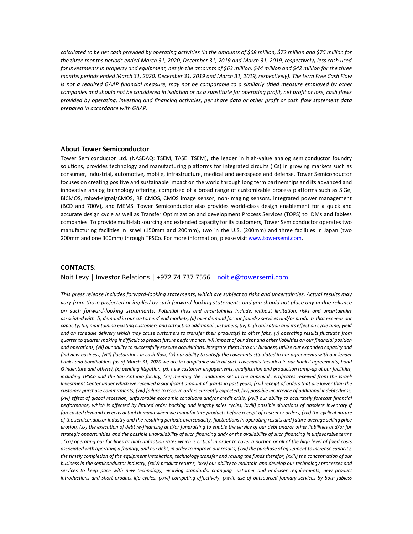*calculated to be net cash provided by operating activities (in the amounts of \$68 million, \$72 million and \$75 million for the three months periods ended March 31, 2020, December 31, 2019 and March 31, 2019, respectively) less cash used for investments in property and equipment, net (in the amounts of \$63 million, \$44 million and \$42 million for the three months periods ended March 31, 2020, December 31, 2019 and March 31, 2019, respectively). The term Free Cash Flow is not a required GAAP financial measure, may not be comparable to a similarly titled measure employed by other companies and should not be considered in isolation or as a substitute for operating profit, net profit or loss, cash flows provided by operating, investing and financing activities, per share data or other profit or cash flow statement data prepared in accordance with GAAP.* 

#### **About Tower Semiconductor**

Tower Semiconductor Ltd. (NASDAQ: TSEM, TASE: TSEM), the leader in high-value analog semiconductor foundry solutions, provides technology and manufacturing platforms for integrated circuits (ICs) in growing markets such as consumer, industrial, automotive, mobile, infrastructure, medical and aerospace and defense. Tower Semiconductor focuses on creating positive and sustainable impact on the world through long term partnerships and its advanced and innovative analog technology offering, comprised of a broad range of customizable process platforms such as SiGe, BiCMOS, mixed-signal/CMOS, RF CMOS, CMOS image sensor, non-imaging sensors, integrated power management (BCD and 700V), and MEMS. Tower Semiconductor also provides world-class design enablement for a quick and accurate design cycle as well as Transfer Optimization and development Process Services (TOPS) to IDMs and fabless companies. To provide multi-fab sourcing and extended capacity for its customers, Tower Semiconductor operates two manufacturing facilities in Israel (150mm and 200mm), two in the U.S. (200mm) and three facilities in Japan (two 200mm and one 300mm) through TPSCo. For more information, please visit [www.towersemi.com.](http://www.towersemi.com/)

# **CONTACTS**:

Noit Levy | Investor Relations | +972 74 737 7556 | [noitle@towersemi.com](mailto:noitle@towersemi.com)

*This press release includes forward-looking statements, which are subject to risks and uncertainties. Actual results may vary from those projected or implied by such forward-looking statements and you should not place any undue reliance on such forward-looking statements. Potential risks and uncertainties include, without limitation, risks and uncertainties associated with: (i) demand in our customers' end markets; (ii) over demand for our foundry services and/or products that exceeds our capacity; (iii) maintaining existing customers and attracting additional customers, (iv) high utilization and its effect on cycle time, yield and on schedule delivery which may cause customers to transfer their product(s) to other fabs, (v) operating results fluctuate from quarter to quarter making it difficult to predict future performance, (vi) impact of our debt and other liabilities on our financial position and operations, (vii) our ability to successfully execute acquisitions, integrate them into our business, utilize our expanded capacity and*  find new business, (viii) fluctuations in cash flow, (ix) our ability to satisfy the covenants stipulated in our agreements with our lender *banks and bondholders (as of March 31, 2020 we are in compliance with all such covenants included in our banks' agreements, bond G indenture and others), (x) pending litigation, (xi) new customer engagements, qualification and production ramp-up at our facilities,*  including TPSCo and the San Antonio facility, (xii) meeting the conditions set in the approval certificates received from the Israeli *Investment Center under which we received a significant amount of grants in past years, (xiii) receipt of orders that are lower than the customer purchase commitments, (xiv) failure to receive orders currently expected, (xv) possible incurrence of additional indebtedness, (xvi) effect of global recession, unfavorable economic conditions and/or credit crisis, (xvii) our ability to accurately forecast financial performance, which is affected by limited order backlog and lengthy sales cycles, (xviii) possible situations of obsolete inventory if forecasted demand exceeds actual demand when we manufacture products before receipt of customer orders, (xix) the cyclical nature of the semiconductor industry and the resulting periodic overcapacity, fluctuations in operating results and future average selling price erosion, (xx) the execution of debt re-financing and/or fundraising to enable the service of our debt and/or other liabilities and/or for strategic opportunities and the possible unavailability of such financing and/ or the availability of such financing in unfavorable terms , (xxi) operating our facilities at high utilization rates which is critical in order to cover a portion or all of the high level of fixed costs associated with operating a foundry, and our debt, in order to improve our results, (xxii) the purchase of equipment to increase capacity, the timely completion of the equipment installation, technology transfer and raising the funds therefor, (xxiii) the concentration of our business in the semiconductor industry, (xxiv) product returns, (xxv) our ability to maintain and develop our technology processes and services to keep pace with new technology, evolving standards, changing customer and end-user requirements, new product introductions and short product life cycles, (xxvi) competing effectively, (xxvii) use of outsourced foundry services by both fabless*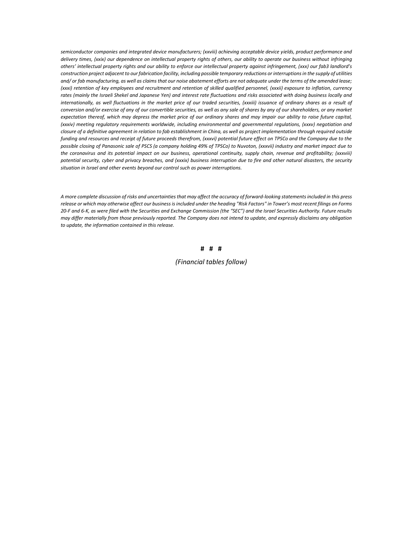*semiconductor companies and integrated device manufacturers; (xxviii) achieving acceptable device yields, product performance and delivery times, (xxix) our dependence on intellectual property rights of others, our ability to operate our business without infringing others' intellectual property rights and our ability to enforce our intellectual property against infringement, (xxx) our fab3 landlord's construction project adjacent to our fabrication facility, including possible temporary reductions or interruptions in the supply of utilities and/ or fab manufacturing, as well as claims that our noise abatement efforts are not adequate under the terms of the amended lease; (xxxi) retention of key employees and recruitment and retention of skilled qualified personnel, (xxxii) exposure to inflation, currency*  rates (mainly the Israeli Shekel and Japanese Yen) and interest rate fluctuations and risks associated with doing business locally and *internationally, as well fluctuations in the market price of our traded securities, (xxxiii) issuance of ordinary shares as a result of conversion and/or exercise of any of our convertible securities, as well as any sale of shares by any of our shareholders, or any market expectation thereof, which may depress the market price of our ordinary shares and may impair our ability to raise future capital, (xxxiv) meeting regulatory requirements worldwide, including environmental and governmental regulations, (xxxv) negotiation and closure of a definitive agreement in relation to fab establishment in China, as well as project implementation through required outside funding and resources and receipt of future proceeds therefrom, (xxxvi) potential future effect on TPSCo and the Company due to the possible closing of Panasonic sale of PSCS (a company holding 49% of TPSCo) to Nuvoton, (xxxvii) industry and market impact due to the coronavirus and its potential impact on our business, operational continuity, supply chain, revenue and profitability; (xxxviii) potential security, cyber and privacy breaches, and (xxxix) business interruption due to fire and other natural disasters, the security situation in Israel and other events beyond our control such as power interruptions.*

*A more complete discussion of risks and uncertainties that may affect the accuracy of forward-looking statements included in this press release or which may otherwise affect our business is included under the heading "Risk Factors" in Tower's most recent filings on Forms 20-F and 6-K, as were filed with the Securities and Exchange Commission (the "SEC") and the Israel Securities Authority. Future results may differ materially from those previously reported. The Company does not intend to update, and expressly disclaims any obligation to update, the information contained in this release.*

#### **# # #**

#### *(Financial tables follow)*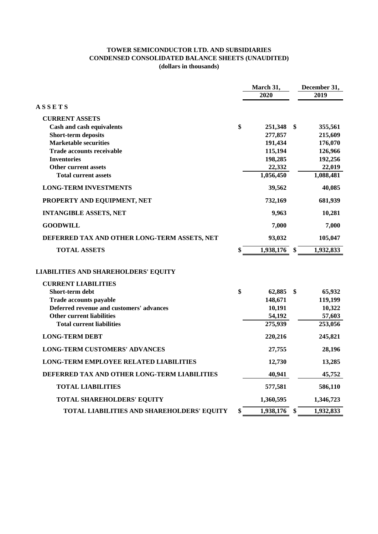# **TOWER SEMICONDUCTOR LTD. AND SUBSIDIARIES CONDENSED CONSOLIDATED BALANCE SHEETS (UNAUDITED) (dollars in thousands)**

|                                               | March 31,<br>2020 |               | December 31,<br>2019 |
|-----------------------------------------------|-------------------|---------------|----------------------|
| <b>ASSETS</b>                                 |                   |               |                      |
| <b>CURRENT ASSETS</b>                         |                   |               |                      |
| Cash and cash equivalents                     | \$<br>251,348     | \$            | 355,561              |
| <b>Short-term deposits</b>                    | 277,857           |               | 215,609              |
| <b>Marketable securities</b>                  | 191,434           |               | 176,070              |
| <b>Trade accounts receivable</b>              | 115,194           |               | 126,966              |
| <b>Inventories</b>                            | 198,285           |               | 192,256              |
| <b>Other current assets</b>                   | 22,332            |               | 22,019               |
| <b>Total current assets</b>                   | 1,056,450         |               | 1,088,481            |
| <b>LONG-TERM INVESTMENTS</b>                  | 39,562            |               | 40,085               |
| PROPERTY AND EQUIPMENT, NET                   | 732,169           |               | 681,939              |
| <b>INTANGIBLE ASSETS, NET</b>                 | 9,963             |               | 10,281               |
| <b>GOODWILL</b>                               | 7,000             |               | 7,000                |
| DEFERRED TAX AND OTHER LONG-TERM ASSETS, NET  | 93,032            |               | 105,047              |
| <b>TOTAL ASSETS</b>                           | \$<br>1,938,176   | <sup>\$</sup> | 1,932,833            |
| <b>LIABILITIES AND SHAREHOLDERS' EQUITY</b>   |                   |               |                      |
| <b>CURRENT LIABILITIES</b>                    |                   |               |                      |
| Short-term debt                               | \$<br>62,885      | \$            | 65,932               |
| Trade accounts payable                        | 148,671           |               | 119,199              |
| Deferred revenue and customers' advances      | 10,191            |               | 10,322               |
| <b>Other current liabilities</b>              | 54,192            |               | 57,603               |
| <b>Total current liabilities</b>              | 275,939           |               | 253,056              |
| <b>LONG-TERM DEBT</b>                         | 220,216           |               | 245,821              |
| <b>LONG-TERM CUSTOMERS' ADVANCES</b>          | 27,755            |               | 28,196               |
| <b>LONG-TERM EMPLOYEE RELATED LIABILITIES</b> | 12,730            |               | 13,285               |
| DEFERRED TAX AND OTHER LONG-TERM LIABILITIES  | 40,941            |               | 45,752               |
| <b>TOTAL LIABILITIES</b>                      | 577,581           |               | 586,110              |
| <b>TOTAL SHAREHOLDERS' EQUITY</b>             | 1,360,595         |               | 1,346,723            |
| TOTAL LIABILITIES AND SHAREHOLDERS' EQUITY    | \$<br>1,938,176   | \$            | 1,932,833            |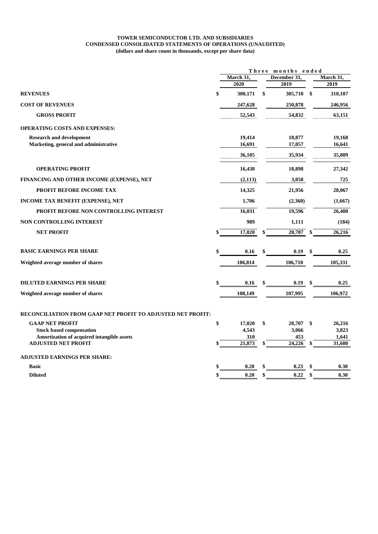#### **TOWER SEMICONDUCTOR LTD. AND SUBSIDIARIES CONDENSED CONSOLIDATED STATEMENTS OF OPERATIONS (UNAUDITED) (dollars and share count in thousands, except per share data)**

|                                                             | Three months ended |    |              |      |           |
|-------------------------------------------------------------|--------------------|----|--------------|------|-----------|
|                                                             | March 31,          |    | December 31, |      | March 31, |
|                                                             | 2020               |    | 2019         |      | 2019      |
| <b>REVENUES</b>                                             | \$<br>300,171      | \$ | 305,710      | - \$ | 310,107   |
| <b>COST OF REVENUES</b>                                     | 247,628            |    | 250,878      |      | 246,956   |
| <b>GROSS PROFIT</b>                                         | 52,543             |    | 54,832       |      | 63,151    |
| <b>OPERATING COSTS AND EXPENSES:</b>                        |                    |    |              |      |           |
| <b>Research and development</b>                             | 19,414             |    | 18,877       |      | 19,168    |
| Marketing, general and administrative                       | 16,691             |    | 17,057       |      | 16,641    |
|                                                             | 36,105             |    | 35,934       |      | 35,809    |
| <b>OPERATING PROFIT</b>                                     | 16,438             |    | 18,898       |      | 27,342    |
| FINANCING AND OTHER INCOME (EXPENSE), NET                   | (2,113)            |    | 3,058        |      | 725       |
| PROFIT BEFORE INCOME TAX                                    | 14,325             |    | 21,956       |      | 28,067    |
| <b>INCOME TAX BENEFIT (EXPENSE), NET</b>                    | 1,706              |    | (2,360)      |      | (1,667)   |
| PROFIT BEFORE NON CONTROLLING INTEREST                      | 16,031             |    | 19,596       |      | 26,400    |
| NON CONTROLLING INTEREST                                    | 989                |    | 1,111        |      | (184)     |
| <b>NET PROFIT</b>                                           | \$<br>17,020       | \$ | 20,707       | \$   | 26,216    |
|                                                             |                    |    |              |      |           |
| <b>BASIC EARNINGS PER SHARE</b>                             | 0.16               | \$ | 0.19         |      | 0.25      |
| Weighted average number of shares                           | 106,814            |    | 106,710      |      | 105,331   |
| <b>DILUTED EARNINGS PER SHARE</b>                           | \$<br>0.16         |    | 0.19         |      | 0.25      |
|                                                             |                    |    |              |      |           |
| Weighted average number of shares                           | 108,149            |    | 107,995      |      | 106,972   |
| RECONCILIATION FROM GAAP NET PROFIT TO ADJUSTED NET PROFIT: |                    |    |              |      |           |
| <b>GAAP NET PROFIT</b>                                      | \$<br>17,020       | \$ | 20,707       | \$   | 26,216    |
| <b>Stock based compensation</b>                             | 4,543              |    | 3,066        |      | 3,823     |
| Amortization of acquired intangible assets                  | 310                |    | 453          |      | 1,641     |
| <b>ADJUSTED NET PROFIT</b>                                  | \$<br>21,873       | \$ | 24,226       | \$   | 31.680    |
| <b>ADJUSTED EARNINGS PER SHARE:</b>                         |                    |    |              |      |           |
| <b>Basic</b>                                                | \$<br>0.20         | \$ | 0.23         | \$   | 0.30      |
| <b>Diluted</b>                                              | \$<br>0.20         | \$ | 0.22         | \$   | 0.30      |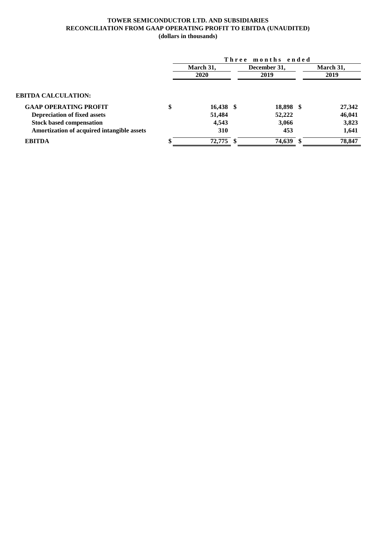# **TOWER SEMICONDUCTOR LTD. AND SUBSIDIARIES RECONCILIATION FROM GAAP OPERATING PROFIT TO EBITDA (UNAUDITED) (dollars in thousands)**

|                                            |    | Three months ended                        |  |           |      |           |  |
|--------------------------------------------|----|-------------------------------------------|--|-----------|------|-----------|--|
|                                            |    | March 31,<br>December 31,<br>2020<br>2019 |  |           |      | March 31, |  |
|                                            |    |                                           |  |           | 2019 |           |  |
| <b>EBITDA CALCULATION:</b>                 |    |                                           |  |           |      |           |  |
| <b>GAAP OPERATING PROFIT</b>               | \$ | 16,438 \$                                 |  | 18,898 \$ |      | 27,342    |  |
| <b>Depreciation of fixed assets</b>        |    | 51,484                                    |  | 52,222    |      | 46,041    |  |
| <b>Stock based compensation</b>            |    | 4,543                                     |  | 3,066     |      | 3,823     |  |
| Amortization of acquired intangible assets |    | 310                                       |  | 453       |      | 1,641     |  |
| EBITDA                                     |    | 72,775                                    |  | 74,639    |      | 78,847    |  |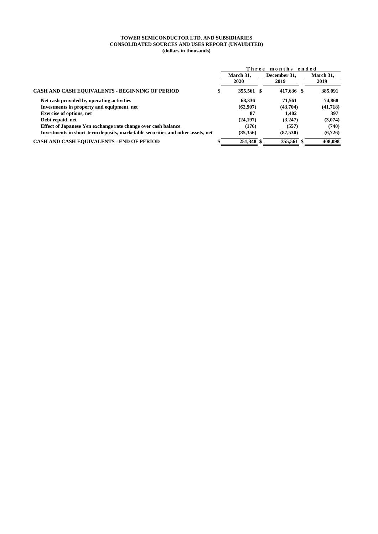#### **TOWER SEMICONDUCTOR LTD. AND SUBSIDIARIES CONSOLIDATED SOURCES AND USES REPORT (UNAUDITED) (dollars in thousands)**

|                                                                                 |    | Three months ended |                      |  |                   |  |
|---------------------------------------------------------------------------------|----|--------------------|----------------------|--|-------------------|--|
|                                                                                 |    | March 31.<br>2020  | December 31.<br>2019 |  | March 31.<br>2019 |  |
| CASH AND CASH EQUIVALENTS - BEGINNING OF PERIOD                                 | \$ | 355,561 \$         | 417,636 \$           |  | 385,091           |  |
| Net cash provided by operating activities                                       |    | 68.336             | 71,561               |  | 74,868            |  |
| Investments in property and equipment, net                                      |    | (62,907)           | (43,704)             |  | (41,718)          |  |
| <b>Exercise of options, net</b>                                                 |    | 87                 | 1.402                |  | 397               |  |
| Debt repaid, net                                                                |    | (24, 197)          | (3,247)              |  | (3,074)           |  |
| Effect of Japanese Yen exchange rate change over cash balance                   |    | (176)              | (557)                |  | (740)             |  |
| Investments in short-term deposits, marketable securities and other assets, net |    | (85,356)           | (87, 530)            |  | (6,726)           |  |
| <b>CASH AND CASH EQUIVALENTS - END OF PERIOD</b>                                |    | 251,348 \$         | 355,561 \$           |  | 408.098           |  |